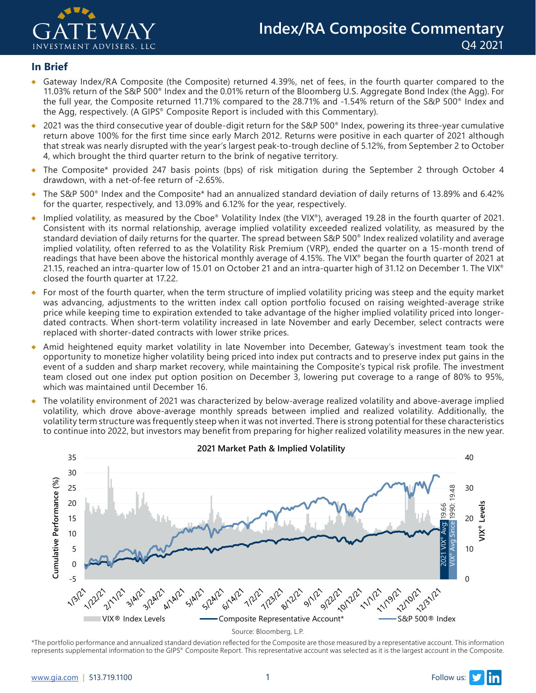

#### **In Brief**

- Gateway Index/RA Composite (the Composite) returned 4.39%, net of fees, in the fourth quarter compared to the 11.03% return of the S&P 500® Index and the 0.01% return of the Bloomberg U.S. Aggregate Bond Index (the Agg). For the full year, the Composite returned 11.71% compared to the 28.71% and -1.54% return of the S&P 500® Index and the Agg, respectively. (A GIPS® Composite Report is included with this Commentary).
- ◆ 2021 was the third consecutive year of double-digit return for the S&P 500® Index, powering its three-year cumulative return above 100% for the first time since early March 2012. Returns were positive in each quarter of 2021 although that streak was nearly disrupted with the year's largest peak-to-trough decline of 5.12%, from September 2 to October 4, which brought the third quarter return to the brink of negative territory.
- ♦ The Composite\* provided 247 basis points (bps) of risk mitigation during the September 2 through October 4 drawdown, with a net-of-fee return of -2.65%.
- ♦ The S&P 500® Index and the Composite\* had an annualized standard deviation of daily returns of 13.89% and 6.42% for the quarter, respectively, and 13.09% and 6.12% for the year, respectively.
- ♦ Implied volatility, as measured by the Cboe® Volatility Index (the VIX®), averaged 19.28 in the fourth quarter of 2021. Consistent with its normal relationship, average implied volatility exceeded realized volatility, as measured by the standard deviation of daily returns for the quarter. The spread between S&P 500® Index realized volatility and average implied volatility, often referred to as the Volatility Risk Premium (VRP), ended the quarter on a 15-month trend of readings that have been above the historical monthly average of 4.15%. The VIX® began the fourth quarter of 2021 at 21.15, reached an intra-quarter low of 15.01 on October 21 and an intra-quarter high of 31.12 on December 1. The VIX® closed the fourth quarter at 17.22.
- For most of the fourth quarter, when the term structure of implied volatility pricing was steep and the equity market was advancing, adjustments to the written index call option portfolio focused on raising weighted-average strike price while keeping time to expiration extended to take advantage of the higher implied volatility priced into longerdated contracts. When short-term volatility increased in late November and early December, select contracts were replaced with shorter-dated contracts with lower strike prices.
- ♦ Amid heightened equity market volatility in late November into December, Gateway's investment team took the opportunity to monetize higher volatility being priced into index put contracts and to preserve index put gains in the event of a sudden and sharp market recovery, while maintaining the Composite's typical risk profile. The investment team closed out one index put option position on December 3, lowering put coverage to a range of 80% to 95%, which was maintained until December 16.
- ♦ The volatility environment of 2021 was characterized by below-average realized volatility and above-average implied volatility, which drove above-average monthly spreads between implied and realized volatility. Additionally, the volatility term structure was frequently steep when it was not inverted. There is strong potential for these characteristics to continue into 2022, but investors may benefit from preparing for higher realized volatility measures in the new year.



\*The portfolio performance and annualized standard deviation reflected for the Composite are those measured by a representative account. This information represents supplemental information to the GIPS® Composite Report. This representative account was selected as it is the largest account in the Composite.

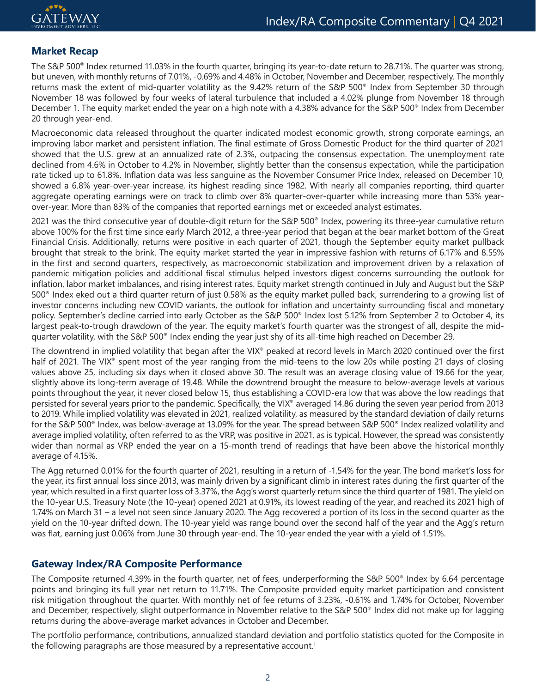# **Market Recap**

The S&P 500® Index returned 11.03% in the fourth quarter, bringing its year-to-date return to 28.71%. The quarter was strong, but uneven, with monthly returns of 7.01%, -0.69% and 4.48% in October, November and December, respectively. The monthly returns mask the extent of mid-quarter volatility as the 9.42% return of the S&P 500® Index from September 30 through November 18 was followed by four weeks of lateral turbulence that included a 4.02% plunge from November 18 through December 1. The equity market ended the year on a high note with a 4.38% advance for the S&P 500® Index from December 20 through year-end.

Macroeconomic data released throughout the quarter indicated modest economic growth, strong corporate earnings, an improving labor market and persistent inflation. The final estimate of Gross Domestic Product for the third quarter of 2021 showed that the U.S. grew at an annualized rate of 2.3%, outpacing the consensus expectation. The unemployment rate declined from 4.6% in October to 4.2% in November, slightly better than the consensus expectation, while the participation rate ticked up to 61.8%. Inflation data was less sanguine as the November Consumer Price Index, released on December 10, showed a 6.8% year-over-year increase, its highest reading since 1982. With nearly all companies reporting, third quarter aggregate operating earnings were on track to climb over 8% quarter-over-quarter while increasing more than 53% yearover-year. More than 83% of the companies that reported earnings met or exceeded analyst estimates.

2021 was the third consecutive year of double-digit return for the S&P 500® Index, powering its three-year cumulative return above 100% for the first time since early March 2012, a three-year period that began at the bear market bottom of the Great Financial Crisis. Additionally, returns were positive in each quarter of 2021, though the September equity market pullback brought that streak to the brink. The equity market started the year in impressive fashion with returns of 6.17% and 8.55% in the first and second quarters, respectively, as macroeconomic stabilization and improvement driven by a relaxation of pandemic mitigation policies and additional fiscal stimulus helped investors digest concerns surrounding the outlook for inflation, labor market imbalances, and rising interest rates. Equity market strength continued in July and August but the S&P 500® Index eked out a third quarter return of just 0.58% as the equity market pulled back, surrendering to a growing list of investor concerns including new COVID variants, the outlook for inflation and uncertainty surrounding fiscal and monetary policy. September's decline carried into early October as the S&P 500® Index lost 5.12% from September 2 to October 4, its largest peak-to-trough drawdown of the year. The equity market's fourth quarter was the strongest of all, despite the midquarter volatility, with the S&P 500® Index ending the year just shy of its all-time high reached on December 29.

The downtrend in implied volatility that began after the VIX® peaked at record levels in March 2020 continued over the first half of 2021. The VIX<sup>®</sup> spent most of the year ranging from the mid-teens to the low 20s while posting 21 days of closing values above 25, including six days when it closed above 30. The result was an average closing value of 19.66 for the year, slightly above its long-term average of 19.48. While the downtrend brought the measure to below-average levels at various points throughout the year, it never closed below 15, thus establishing a COVID-era low that was above the low readings that persisted for several years prior to the pandemic. Specifically, the VIX® averaged 14.86 during the seven year period from 2013 to 2019. While implied volatility was elevated in 2021, realized volatility, as measured by the standard deviation of daily returns for the S&P 500® Index, was below-average at 13.09% for the year. The spread between S&P 500® Index realized volatility and average implied volatility, often referred to as the VRP, was positive in 2021, as is typical. However, the spread was consistently wider than normal as VRP ended the year on a 15-month trend of readings that have been above the historical monthly average of 4.15%.

The Agg returned 0.01% for the fourth quarter of 2021, resulting in a return of -1.54% for the year. The bond market's loss for the year, its first annual loss since 2013, was mainly driven by a significant climb in interest rates during the first quarter of the year, which resulted in a first quarter loss of 3.37%, the Agg's worst quarterly return since the third quarter of 1981. The yield on the 10-year U.S. Treasury Note (the 10-year) opened 2021 at 0.91%, its lowest reading of the year, and reached its 2021 high of 1.74% on March 31 – a level not seen since January 2020. The Agg recovered a portion of its loss in the second quarter as the yield on the 10-year drifted down. The 10-year yield was range bound over the second half of the year and the Agg's return was flat, earning just 0.06% from June 30 through year-end. The 10-year ended the year with a yield of 1.51%.

## **Gateway Index/RA Composite Performance**

The Composite returned 4.39% in the fourth quarter, net of fees, underperforming the S&P 500® Index by 6.64 percentage points and bringing its full year net return to 11.71%. The Composite provided equity market participation and consistent risk mitigation throughout the quarter. With monthly net of fee returns of 3.23%, -0.61% and 1.74% for October, November and December, respectively, slight outperformance in November relative to the S&P 500® Index did not make up for lagging returns during the above-average market advances in October and December.

The portfolio performance, contributions, annualized standard deviation and portfolio statistics quoted for the Composite in the following paragraphs are those measured by a representative account.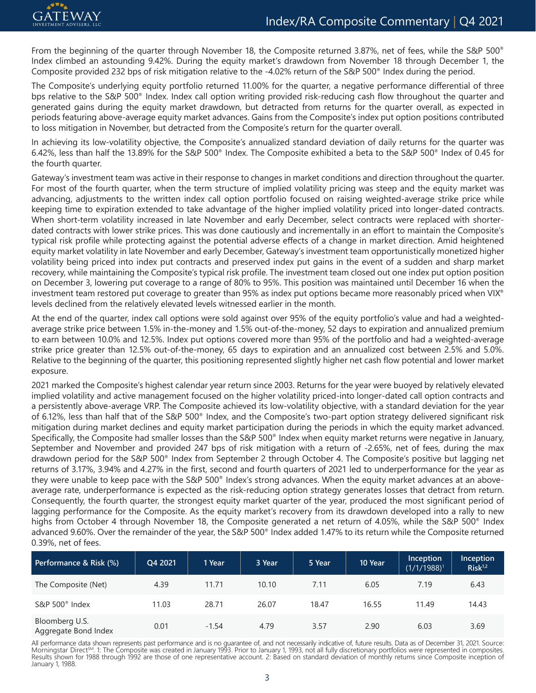

From the beginning of the quarter through November 18, the Composite returned 3.87%, net of fees, while the S&P 500® Index climbed an astounding 9.42%. During the equity market's drawdown from November 18 through December 1, the Composite provided 232 bps of risk mitigation relative to the -4.02% return of the S&P 500® Index during the period.

The Composite's underlying equity portfolio returned 11.00% for the quarter, a negative performance differential of three bps relative to the S&P 500® Index. Index call option writing provided risk-reducing cash flow throughout the quarter and generated gains during the equity market drawdown, but detracted from returns for the quarter overall, as expected in periods featuring above-average equity market advances. Gains from the Composite's index put option positions contributed to loss mitigation in November, but detracted from the Composite's return for the quarter overall.

In achieving its low-volatility objective, the Composite's annualized standard deviation of daily returns for the quarter was 6.42%, less than half the 13.89% for the S&P 500® Index. The Composite exhibited a beta to the S&P 500® Index of 0.45 for the fourth quarter.

Gateway's investment team was active in their response to changes in market conditions and direction throughout the quarter. For most of the fourth quarter, when the term structure of implied volatility pricing was steep and the equity market was advancing, adjustments to the written index call option portfolio focused on raising weighted-average strike price while keeping time to expiration extended to take advantage of the higher implied volatility priced into longer-dated contracts. When short-term volatility increased in late November and early December, select contracts were replaced with shorterdated contracts with lower strike prices. This was done cautiously and incrementally in an effort to maintain the Composite's typical risk profile while protecting against the potential adverse effects of a change in market direction. Amid heightened equity market volatility in late November and early December, Gateway's investment team opportunistically monetized higher volatility being priced into index put contracts and preserved index put gains in the event of a sudden and sharp market recovery, while maintaining the Composite's typical risk profile. The investment team closed out one index put option position on December 3, lowering put coverage to a range of 80% to 95%. This position was maintained until December 16 when the investment team restored put coverage to greater than 95% as index put options became more reasonably priced when VIX® levels declined from the relatively elevated levels witnessed earlier in the month.

At the end of the quarter, index call options were sold against over 95% of the equity portfolio's value and had a weightedaverage strike price between 1.5% in-the-money and 1.5% out-of-the-money, 52 days to expiration and annualized premium to earn between 10.0% and 12.5%. Index put options covered more than 95% of the portfolio and had a weighted-average strike price greater than 12.5% out-of-the-money, 65 days to expiration and an annualized cost between 2.5% and 5.0%. Relative to the beginning of the quarter, this positioning represented slightly higher net cash flow potential and lower market exposure.

2021 marked the Composite's highest calendar year return since 2003. Returns for the year were buoyed by relatively elevated implied volatility and active management focused on the higher volatility priced-into longer-dated call option contracts and a persistently above-average VRP. The Composite achieved its low-volatility objective, with a standard deviation for the year of 6.12%, less than half that of the S&P 500® Index, and the Composite's two-part option strategy delivered significant risk mitigation during market declines and equity market participation during the periods in which the equity market advanced. Specifically, the Composite had smaller losses than the S&P 500® Index when equity market returns were negative in January, September and November and provided 247 bps of risk mitigation with a return of -2.65%, net of fees, during the max drawdown period for the S&P 500® Index from September 2 through October 4. The Composite's positive but lagging net returns of 3.17%, 3.94% and 4.27% in the first, second and fourth quarters of 2021 led to underperformance for the year as they were unable to keep pace with the S&P 500® Index's strong advances. When the equity market advances at an aboveaverage rate, underperformance is expected as the risk-reducing option strategy generates losses that detract from return. Consequently, the fourth quarter, the strongest equity market quarter of the year, produced the most significant period of lagging performance for the Composite. As the equity market's recovery from its drawdown developed into a rally to new highs from October 4 through November 18, the Composite generated a net return of 4.05%, while the S&P 500® Index advanced 9.60%. Over the remainder of the year, the S&P 500® Index added 1.47% to its return while the Composite returned 0.39%, net of fees.

| Performance & Risk (%)                 | Q4 2021 | 1 Year  | 3 Year | 5 Year | 10 Year | Inception<br>$(1/1/1988)^1$ | Inception<br>Risk <sup>1,2</sup> |
|----------------------------------------|---------|---------|--------|--------|---------|-----------------------------|----------------------------------|
| The Composite (Net)                    | 4.39    | 11.71   | 10.10  | 7.11   | 6.05    | 7.19                        | 6.43                             |
| S&P $500^{\circ}$ Index                | 11.03   | 28.71   | 26.07  | 18.47  | 16.55   | 11.49                       | 14.43                            |
| Bloomberg U.S.<br>Aggregate Bond Index | 0.01    | $-1.54$ | 4.79   | 3.57   | 2.90    | 6.03                        | 3.69                             |

All performance data shown represents past performance and is no guarantee of, and not necessarily indicative of, future results. Data as of December 31, 2021. Source:<br>Morningstar Direct℠. 1: The Composite was created in Results shown for 1988 through 1992 are those of one representative account. 2: Based on standard deviation of monthly returns since Composite inception of January 1, 1988.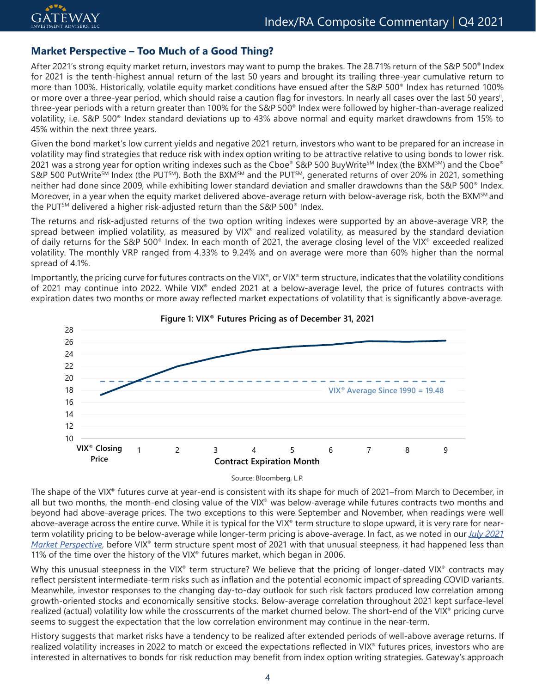# **Market Perspective – Too Much of a Good Thing?**

After 2021's strong equity market return, investors may want to pump the brakes. The 28.71% return of the S&P 500® Index for 2021 is the tenth-highest annual return of the last 50 years and brought its trailing three-year cumulative return to more than 100%. Historically, volatile equity market conditions have ensued after the S&P 500® Index has returned 100% or more over a three-year period, which should raise a caution flag for investors. In nearly all cases over the last 50 years", three-year periods with a return greater than 100% for the S&P 500® Index were followed by higher-than-average realized volatility, i.e. S&P 500® Index standard deviations up to 43% above normal and equity market drawdowns from 15% to 45% within the next three years.

Given the bond market's low current yields and negative 2021 return, investors who want to be prepared for an increase in volatility may find strategies that reduce risk with index option writing to be attractive relative to using bonds to lower risk. 2021 was a strong year for option writing indexes such as the Cboe® S&P 500 BuyWriteSM Index (the BXMSM) and the Cboe® S&P 500 PutWrite<sup>SM</sup> Index (the PUT<sup>SM</sup>). Both the BXM<sup>SM</sup> and the PUT<sup>SM</sup>, generated returns of over 20% in 2021, something neither had done since 2009, while exhibiting lower standard deviation and smaller drawdowns than the S&P 500® Index. Moreover, in a year when the equity market delivered above-average return with below-average risk, both the BXM<sup>SM</sup> and the PUT<sup>SM</sup> delivered a higher risk-adjusted return than the S&P 500<sup>®</sup> Index.

The returns and risk-adjusted returns of the two option writing indexes were supported by an above-average VRP, the spread between implied volatility, as measured by VIX® and realized volatility, as measured by the standard deviation of daily returns for the S&P 500® Index. In each month of 2021, the average closing level of the VIX® exceeded realized volatility. The monthly VRP ranged from 4.33% to 9.24% and on average were more than 60% higher than the normal spread of 4.1%.

Importantly, the pricing curve for futures contracts on the VIX®, or VIX® term structure, indicates that the volatility conditions of 2021 may continue into 2022. While VIX® ended 2021 at a below-average level, the price of futures contracts with expiration dates two months or more away reflected market expectations of volatility that is significantly above-average.



Source: Bloomberg, L.P.

The shape of the VIX® futures curve at year-end is consistent with its shape for much of 2021–from March to December, in all but two months, the month-end closing value of the VIX<sup>®</sup> was below-average while futures contracts two months and beyond had above-average prices. The two exceptions to this were September and November, when readings were well above-average across the entire curve. While it is typical for the VIX® term structure to slope upward, it is very rare for nearterm volatility pricing to be below-average while longer-term pricing is above-average. In fact, as we noted in our *[July 2021](https://www.gia.com/post/volatility-is-where-you-find-it)  [Market Perspective](https://www.gia.com/post/volatility-is-where-you-find-it)*, before VIX® term structure spent most of 2021 with that unusual steepness, it had happened less than 11% of the time over the history of the VIX® futures market, which began in 2006.

Why this unusual steepness in the VIX<sup>®</sup> term structure? We believe that the pricing of longer-dated VIX<sup>®</sup> contracts may reflect persistent intermediate-term risks such as inflation and the potential economic impact of spreading COVID variants. Meanwhile, investor responses to the changing day-to-day outlook for such risk factors produced low correlation among growth-oriented stocks and economically sensitive stocks. Below-average correlation throughout 2021 kept surface-level realized (actual) volatility low while the crosscurrents of the market churned below. The short-end of the VIX® pricing curve seems to suggest the expectation that the low correlation environment may continue in the near-term.

History suggests that market risks have a tendency to be realized after extended periods of well-above average returns. If realized volatility increases in 2022 to match or exceed the expectations reflected in VIX® futures prices, investors who are interested in alternatives to bonds for risk reduction may benefit from index option writing strategies. Gateway's approach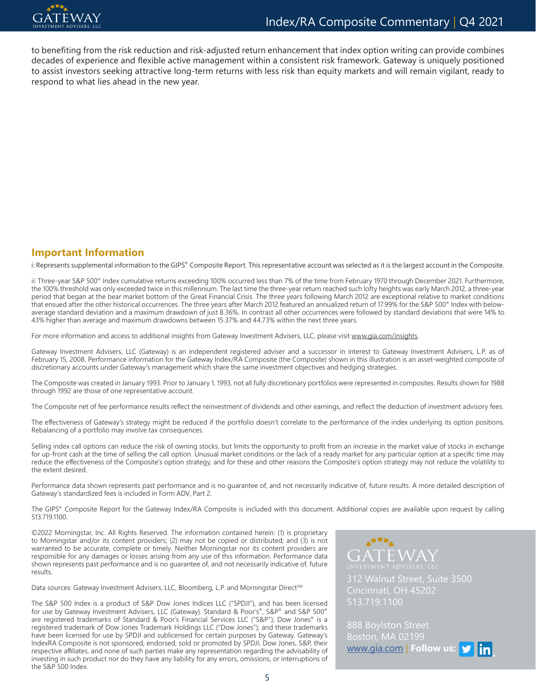

to benefiting from the risk reduction and risk-adjusted return enhancement that index option writing can provide combines decades of experience and flexible active management within a consistent risk framework. Gateway is uniquely positioned to assist investors seeking attractive long-term returns with less risk than equity markets and will remain vigilant, ready to respond to what lies ahead in the new year.

## **Important Information**

i: Represents supplemental information to the GIPS® Composite Report. This representative account was selected as it is the largest account in the Composite.

ii: Three-year S&P 500® Index cumulative returns exceeding 100% occurred less than 7% of the time from February 1970 through December 2021. Furthermore, the 100% threshold was only exceeded twice in this millennium. The last time the three-year return reached such lofty heights was early March 2012, a three-year period that began at the bear market bottom of the Great Financial Crisis. The three years following March 2012 are exceptional relative to market conditions that ensued after the other historical occurrences. The three years after March 2012 featured an annualized return of 17.99% for the S&P 500® Index with belowaverage standard deviation and a maximum drawdown of just 8.36%. In contrast all other occurrences were followed by standard deviations that were 14% to 43% higher than average and maximum drawdowns between 15.37% and 44.73% within the next three years.

For more information and access to additional insights from Gateway Investment Advisers, LLC, please visit [www.gia.com/insights](http://www.gia.com/insights).

Gateway Investment Advisers, LLC (Gateway) is an independent registered adviser and a successor in interest to Gateway Investment Advisers, L.P. as of February 15, 2008. Performance information for the Gateway Index/RA Composite (the Composite) shown in this illustration is an asset-weighted composite of discretionary accounts under Gateway's management which share the same investment objectives and hedging strategies.

The Composite was created in January 1993. Prior to January 1, 1993, not all fully discretionary portfolios were represented in composites. Results shown for 1988 through 1992 are those of one representative account.

The Composite net of fee performance results reflect the reinvestment of dividends and other earnings, and reflect the deduction of investment advisory fees.

The effectiveness of Gateway's strategy might be reduced if the portfolio doesn't correlate to the performance of the index underlying its option positions. Rebalancing of a portfolio may involve tax consequences.

Selling index call options can reduce the risk of owning stocks, but limits the opportunity to profit from an increase in the market value of stocks in exchange for up-front cash at the time of selling the call option. Unusual market conditions or the lack of a ready market for any particular option at a specific time may reduce the effectiveness of the Composite's option strategy, and for these and other reasons the Composite's option strategy may not reduce the volatility to the extent desired.

Performance data shown represents past performance and is no guarantee of, and not necessarily indicative of, future results. A more detailed description of Gateway's standardized fees is included in Form ADV, Part 2.

The GIPS® Composite Report for the Gateway Index/RA Composite is included with this document. Additional copies are available upon request by calling 513.719.1100.

©2022 Morningstar, Inc. All Rights Reserved. The information contained herein: (1) is proprietary to Morningstar and/or its content providers; (2) may not be copied or distributed; and (3) is not warranted to be accurate, complete or timely. Neither Morningstar nor its content providers are responsible for any damages or losses arising from any use of this information. Performance data shown represents past performance and is no guarantee of, and not necessarily indicative of, future results.

Data sources: Gateway Investment Advisers, LLC, Bloomberg, L.P. and Morningstar Direct<sup>SM</sup>

The S&P 500 Index is a product of S&P Dow Jones Indices LLC ("SPDJI"), and has been licensed for use by Gateway Investment Advisers, LLC (Gateway). Standard & Poor's®, S&P® and S&P 500® are registered trademarks of Standard & Poor's Financial Services LLC ("S&P"); Dow Jones® is a registered trademark of Dow Jones Trademark Holdings LLC ("Dow Jones"); and these trademarks have been licensed for use by SPDJI and sublicensed for certain purposes by Gateway. Gateway's IndexRA Composite is not sponsored, endorsed, sold or promoted by SPDJI, Dow Jones, S&P, their respective affiliates, and none of such parties make any representation regarding the advisability of investing in such product nor do they have any liability for any errors, omissions, or interruptions of the S&P 500 Index.



312 Walnut Street, Suite 3500 Cincinnati, OH 45202 513.719.1100

888 Boylston Street Boston, MA 02199 www.gia.com | **Follow us:**